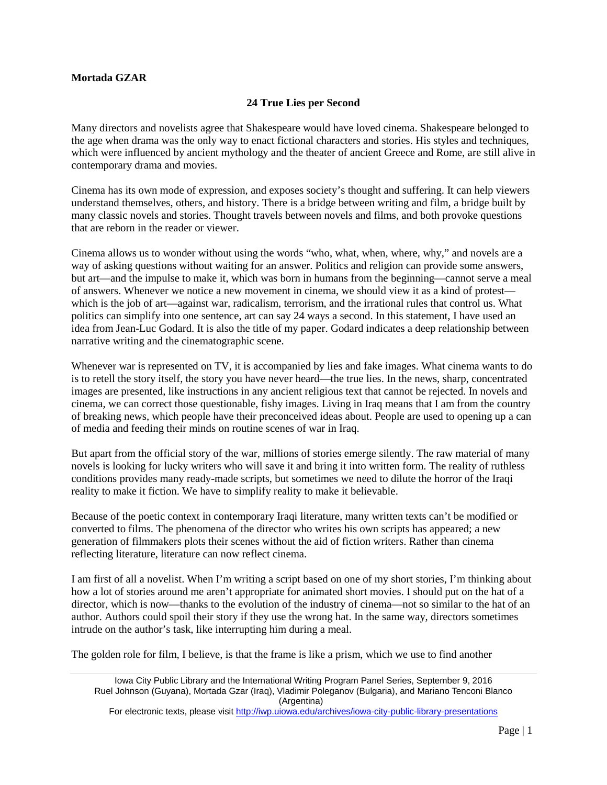## **Mortada GZAR**

## **24 True Lies per Second**

Many directors and novelists agree that Shakespeare would have loved cinema. Shakespeare belonged to the age when drama was the only way to enact fictional characters and stories. His styles and techniques, which were influenced by ancient mythology and the theater of ancient Greece and Rome, are still alive in contemporary drama and movies.

Cinema has its own mode of expression, and exposes society's thought and suffering. It can help viewers understand themselves, others, and history. There is a bridge between writing and film, a bridge built by many classic novels and stories. Thought travels between novels and films, and both provoke questions that are reborn in the reader or viewer.

Cinema allows us to wonder without using the words "who, what, when, where, why," and novels are a way of asking questions without waiting for an answer. Politics and religion can provide some answers, but art—and the impulse to make it, which was born in humans from the beginning—cannot serve a meal of answers. Whenever we notice a new movement in cinema, we should view it as a kind of protest which is the job of art—against war, radicalism, terrorism, and the irrational rules that control us. What politics can simplify into one sentence, art can say 24 ways a second. In this statement, I have used an idea from Jean-Luc Godard. It is also the title of my paper. Godard indicates a deep relationship between narrative writing and the cinematographic scene.

Whenever war is represented on TV, it is accompanied by lies and fake images. What cinema wants to do is to retell the story itself, the story you have never heard—the true lies. In the news, sharp, concentrated images are presented, like instructions in any ancient religious text that cannot be rejected. In novels and cinema, we can correct those questionable, fishy images. Living in Iraq means that I am from the country of breaking news, which people have their preconceived ideas about. People are used to opening up a can of media and feeding their minds on routine scenes of war in Iraq.

But apart from the official story of the war, millions of stories emerge silently. The raw material of many novels is looking for lucky writers who will save it and bring it into written form. The reality of ruthless conditions provides many ready-made scripts, but sometimes we need to dilute the horror of the Iraqi reality to make it fiction. We have to simplify reality to make it believable.

Because of the poetic context in contemporary Iraqi literature, many written texts can't be modified or converted to films. The phenomena of the director who writes his own scripts has appeared; a new generation of filmmakers plots their scenes without the aid of fiction writers. Rather than cinema reflecting literature, literature can now reflect cinema.

I am first of all a novelist. When I'm writing a script based on one of my short stories, I'm thinking about how a lot of stories around me aren't appropriate for animated short movies. I should put on the hat of a director, which is now—thanks to the evolution of the industry of cinema—not so similar to the hat of an author. Authors could spoil their story if they use the wrong hat. In the same way, directors sometimes intrude on the author's task, like interrupting him during a meal.

The golden role for film, I believe, is that the frame is like a prism, which we use to find another

Iowa City Public Library and the International Writing Program Panel Series, September 9, 2016 Ruel Johnson (Guyana), Mortada Gzar (Iraq), Vladimir Poleganov (Bulgaria), and Mariano Tenconi Blanco (Argentina)

For electronic texts, please visit<http://iwp.uiowa.edu/archives/iowa-city-public-library-presentations>